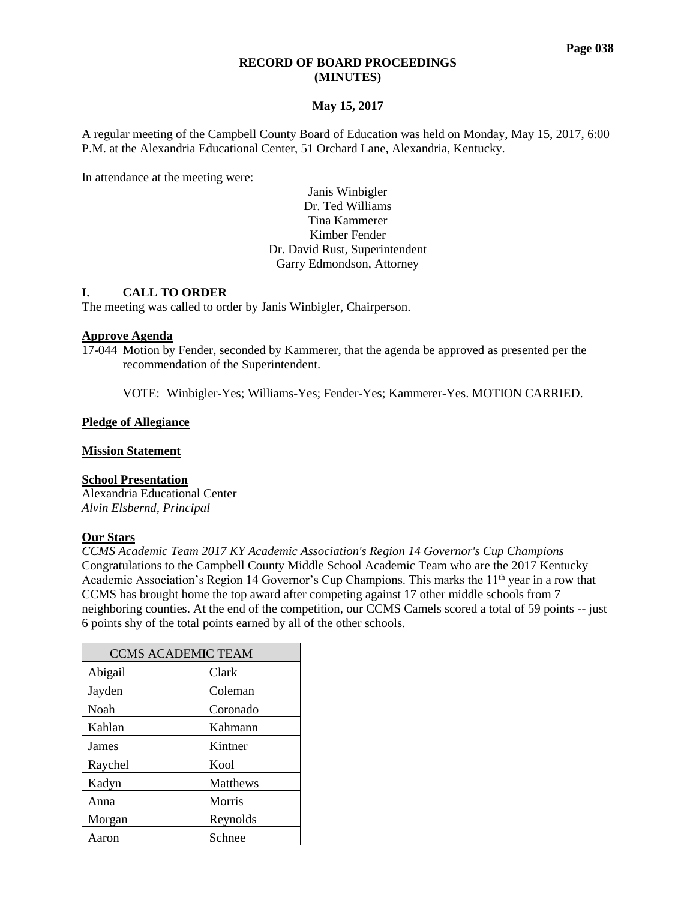# **May 15, 2017**

A regular meeting of the Campbell County Board of Education was held on Monday, May 15, 2017, 6:00 P.M. at the Alexandria Educational Center, 51 Orchard Lane, Alexandria, Kentucky.

In attendance at the meeting were:

Janis Winbigler Dr. Ted Williams Tina Kammerer Kimber Fender Dr. David Rust, Superintendent Garry Edmondson, Attorney

## **I. CALL TO ORDER**

The meeting was called to order by Janis Winbigler, Chairperson.

## **Approve Agenda**

17-044 Motion by Fender, seconded by Kammerer, that the agenda be approved as presented per the recommendation of the Superintendent.

VOTE: Winbigler-Yes; Williams-Yes; Fender-Yes; Kammerer-Yes. MOTION CARRIED.

## **Pledge of Allegiance**

## **Mission Statement**

## **School Presentation**

Alexandria Educational Center *Alvin Elsbernd, Principal*

## **Our Stars**

*[CCMS Academic Team 2017 KY Academic Association's Region 14 Governor's Cup Champions](http://www.campbellcountyschools.org/News/54485)* Congratulations to the Campbell County Middle School Academic Team who are the 2017 Kentucky Academic Association's Region 14 Governor's Cup Champions. This marks the  $11<sup>th</sup>$  year in a row that CCMS has brought home the top award after competing against 17 other middle schools from 7 neighboring counties. At the end of the competition, our CCMS Camels scored a total of 59 points -- just 6 points shy of the total points earned by all of the other schools.

| <b>CCMS ACADEMIC TEAM</b> |                 |  |  |
|---------------------------|-----------------|--|--|
| Abigail                   | Clark           |  |  |
| Jayden                    | Coleman         |  |  |
| Noah                      | Coronado        |  |  |
| Kahlan                    | Kahmann         |  |  |
| James                     | Kintner         |  |  |
| Raychel                   | Kool            |  |  |
| Kadyn                     | <b>Matthews</b> |  |  |
| Anna                      | Morris          |  |  |
| Morgan                    | Reynolds        |  |  |
| Aaron                     | Schnee          |  |  |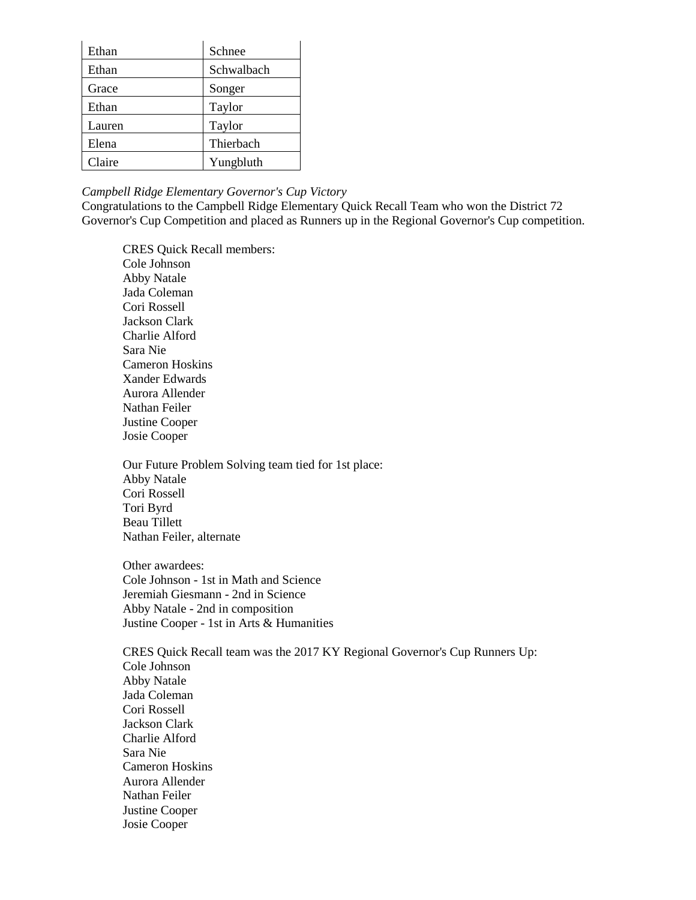| Ethan  | Schnee     |
|--------|------------|
| Ethan  | Schwalbach |
| Grace  | Songer     |
| Ethan  | Taylor     |
| Lauren | Taylor     |
| Elena  | Thierbach  |
| Claire | Yungbluth  |

### *[Campbell Ridge Elementary Governor's Cup Victory](http://www.campbellcountyschools.org/News/54547)*

Congratulations to the Campbell Ridge Elementary Quick Recall Team who won the District 72 Governor's Cup Competition and placed as Runners up in the Regional Governor's Cup competition.

CRES Quick Recall members: Cole Johnson Abby Natale Jada Coleman Cori Rossell Jackson Clark Charlie Alford Sara Nie Cameron Hoskins Xander Edwards Aurora Allender Nathan Feiler Justine Cooper Josie Cooper

Our Future Problem Solving team tied for 1st place: Abby Natale Cori Rossell Tori Byrd Beau Tillett Nathan Feiler, alternate

Other awardees: Cole Johnson - 1st in Math and Science Jeremiah Giesmann - 2nd in Science Abby Natale - 2nd in composition Justine Cooper - 1st in Arts & Humanities

CRES Quick Recall team was the 2017 KY Regional Governor's Cup Runners Up: Cole Johnson Abby Natale Jada Coleman Cori Rossell Jackson Clark Charlie Alford Sara Nie Cameron Hoskins Aurora Allender Nathan Feiler Justine Cooper Josie Cooper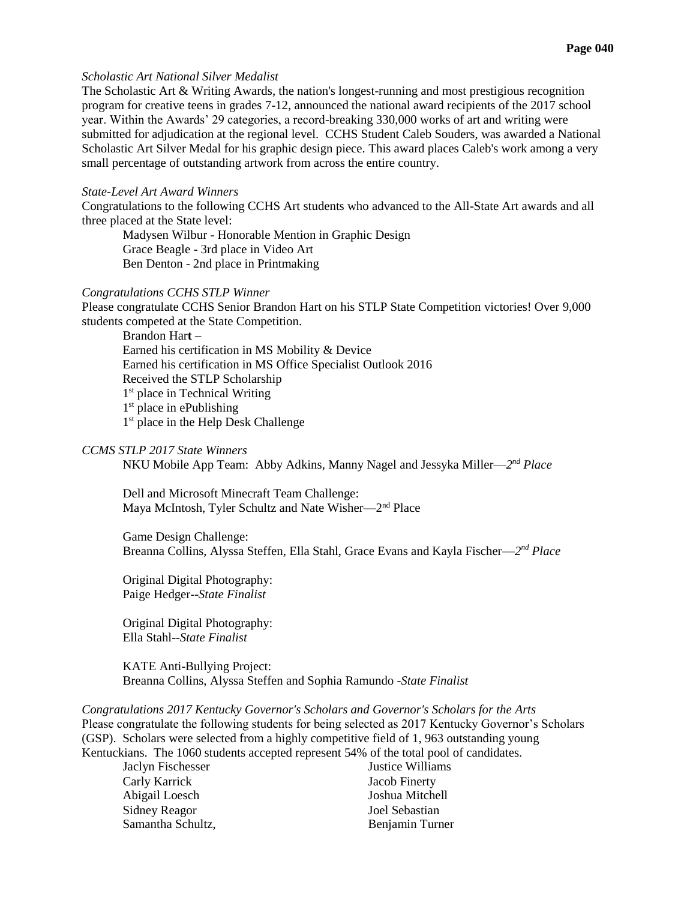## *[Scholastic Art National Silver Medalist](http://www.campbellcountyschools.org/News/54534)*

The Scholastic Art & Writing Awards, the nation's longest-running and most prestigious recognition program for creative teens in grades 7-12, announced the national award recipients of the 2017 school year. Within the Awards' 29 categories, a record-breaking 330,000 works of art and writing were submitted for adjudication at the regional level. CCHS Student Caleb Souders, was awarded a National Scholastic Art Silver Medal for his graphic design piece. This award places Caleb's work among a very small percentage of outstanding artwork from across the entire country.

### *[State-Level Art Award Winners](http://www.campbellcountyschools.org/News/54548)*

Congratulations to the following CCHS Art students who advanced to the All-State Art awards and all three placed at the State level:

Madysen Wilbur - Honorable Mention in Graphic Design Grace Beagle - 3rd place in Video Art Ben Denton - 2nd place in Printmaking

#### *[Congratulations CCHS STLP Winner](http://www.campbellcountyschools.org/News/54554)*

Please congratulate CCHS Senior Brandon Hart on his STLP State Competition victories! Over 9,000 students competed at the State Competition.

Brandon Har**t** *–* Earned his certification in MS Mobility & Device Earned his certification in MS Office Specialist Outlook 2016 Received the STLP Scholarship 1<sup>st</sup> place in Technical Writing 1<sup>st</sup> place in ePublishing 1<sup>st</sup> place in the Help Desk Challenge

# *CCMS STLP 2017 State Winners*

NKU Mobile App Team: Abby Adkins, Manny Nagel and Jessyka Miller—2<sup>nd</sup> Place

Dell and Microsoft Minecraft Team Challenge: Maya McIntosh, Tyler Schultz and Nate Wisher—2<sup>nd</sup> Place

Game Design Challenge: Breanna Collins, Alyssa Steffen, Ella Stahl, Grace Evans and Kayla Fischer—2<sup>nd</sup> Place

Original Digital Photography: Paige Hedger--*State Finalist*

Original Digital Photography: Ella Stahl--*State Finalist*

KATE Anti-Bullying Project: Breanna Collins, Alyssa Steffen and Sophia Ramundo -*State Finalist*

*[Congratulations 2017 Kentucky Governor's Scholars and Governor's Scholars for the Arts](http://www.campbellcountyschools.org/News/54558)* Please congratulate the following students for being selected as 2017 Kentucky Governor's Scholars (GSP). Scholars were selected from a highly competitive field of 1, 963 outstanding young Kentuckians. The 1060 students accepted represent 54% of the total pool of candidates.

Carly Karrick Jacob Finerty Abigail Loesch Joshua Mitchell Sidney Reagor Joel Sebastian Samantha Schultz, **Benjamin Turner** 

Jaclyn Fischesser Justice Williams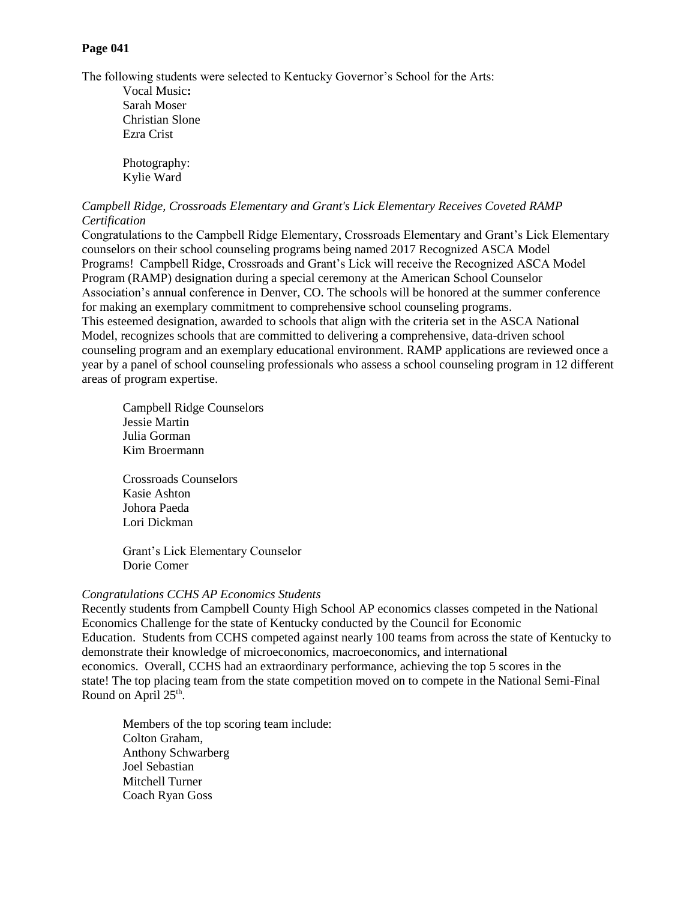# **Page 041**

The following students were selected to Kentucky Governor's School for the Arts:

Vocal Music**:** Sarah Moser Christian Slone Ezra Crist

Photography: Kylie Ward

# *[Campbell Ridge, Crossroads Elementary and Grant's Lick Elementary Receives Coveted RAMP](http://www.campbellcountyschools.org/News/54560)  [Certification](http://www.campbellcountyschools.org/News/54560)*

Congratulations to the Campbell Ridge Elementary, Crossroads Elementary and Grant's Lick Elementary counselors on their school counseling programs being named 2017 Recognized ASCA Model Programs! Campbell Ridge, Crossroads and Grant's Lick will receive the Recognized ASCA Model Program (RAMP) designation during a special ceremony at the American School Counselor Association's annual conference in Denver, CO. The schools will be honored at the summer conference for making an exemplary commitment to comprehensive school counseling programs. This esteemed designation, awarded to schools that align with the criteria set in the ASCA National Model, recognizes schools that are committed to delivering a comprehensive, data-driven school counseling program and an exemplary educational environment. RAMP applications are reviewed once a year by a panel of school counseling professionals who assess a school counseling program in 12 different areas of program expertise.

Campbell Ridge Counselors Jessie Martin Julia Gorman Kim Broermann

Crossroads Counselors Kasie Ashton Johora Paeda Lori Dickman

Grant's Lick Elementary Counselor Dorie Comer

# *[Congratulations CCHS AP Economics Students](http://www.campbellcountyschools.org/News/54574)*

Recently students from Campbell County High School AP economics classes competed in the National Economics Challenge for the state of Kentucky conducted by the Council for Economic Education. Students from CCHS competed against nearly 100 teams from across the state of Kentucky to demonstrate their knowledge of microeconomics, macroeconomics, and international economics. Overall, CCHS had an extraordinary performance, achieving the top 5 scores in the state! The top placing team from the state competition moved on to compete in the National Semi-Final Round on April  $25<sup>th</sup>$ .

Members of the top scoring team include: Colton Graham, Anthony Schwarberg Joel Sebastian Mitchell Turner Coach Ryan Goss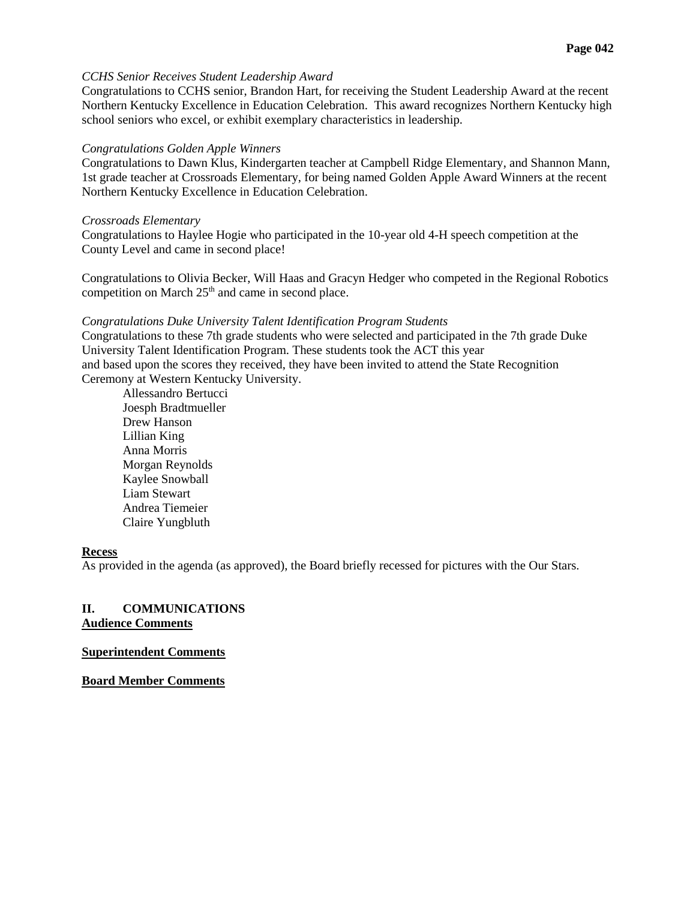### *[CCHS Senior Receives Student Leadership Award](http://www.campbellcountyschools.org/News/54580)*

Congratulations to CCHS senior, Brandon Hart, for receiving the Student Leadership Award at the recent Northern Kentucky Excellence in Education Celebration. This award recognizes Northern Kentucky high school seniors who excel, or exhibit exemplary characteristics in leadership.

### *[Congratulations Golden Apple Winners](http://www.campbellcountyschools.org/News/54581)*

Congratulations to Dawn Klus, Kindergarten teacher at Campbell Ridge Elementary, and Shannon Mann, 1st grade teacher at Crossroads Elementary, for being named Golden Apple Award Winners at the recent Northern Kentucky Excellence in Education Celebration.

### *Crossroads Elementary*

Congratulations to Haylee Hogie who participated in the 10-year old 4-H speech competition at the County Level and came in second place!

Congratulations to Olivia Becker, Will Haas and Gracyn Hedger who competed in the Regional Robotics competition on March 25<sup>th</sup> and came in second place.

### *[Congratulations Duke University Talent Identification Program Students](http://www.campbellcountyschools.org/News/54584)*

Congratulations to these 7th grade students who were selected and participated in the 7th grade Duke University Talent Identification Program. These students took the ACT this year and based upon the scores they received, they have been invited to attend the State Recognition Ceremony at Western Kentucky University.

Allessandro Bertucci Joesph Bradtmueller Drew Hanson Lillian King Anna Morris Morgan Reynolds Kaylee Snowball Liam Stewart Andrea Tiemeier Claire Yungbluth

## **Recess**

As provided in the agenda (as approved), the Board briefly recessed for pictures with the Our Stars.

## **II. COMMUNICATIONS Audience Comments**

### **Superintendent Comments**

**Board Member Comments**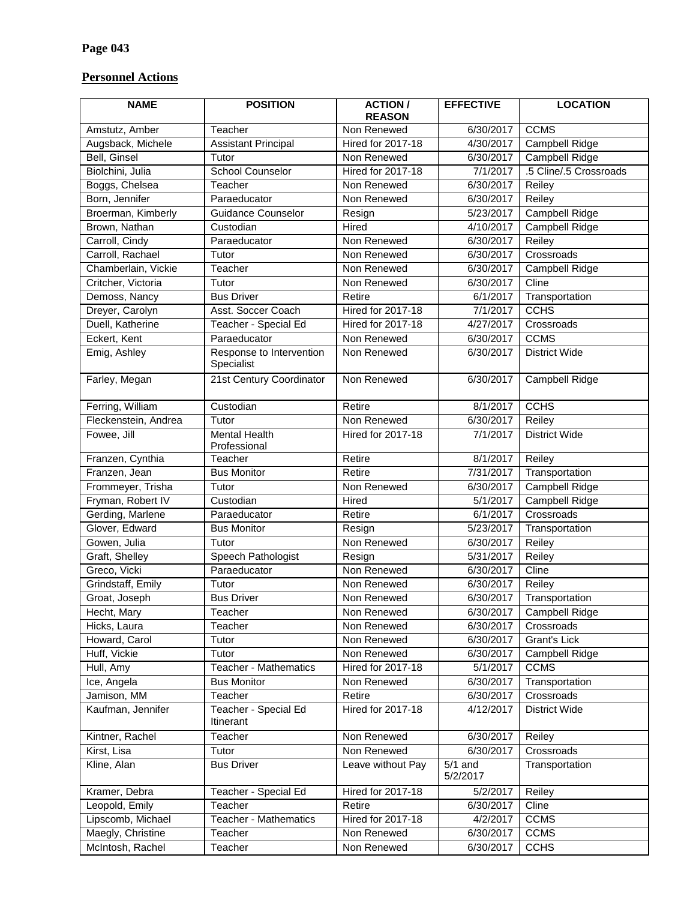# **Personnel Actions**

| <b>NAME</b>          | <b>POSITION</b>                      | <b>ACTION/</b><br><b>EFFECTIVE</b><br><b>REASON</b> |                       | <b>LOCATION</b>        |  |
|----------------------|--------------------------------------|-----------------------------------------------------|-----------------------|------------------------|--|
| Amstutz, Amber       | Teacher                              | Non Renewed                                         | 6/30/2017             | <b>CCMS</b>            |  |
| Augsback, Michele    | <b>Assistant Principal</b>           | <b>Hired for 2017-18</b>                            | 4/30/2017             | <b>Campbell Ridge</b>  |  |
| Bell, Ginsel         | Tutor                                | Non Renewed                                         | 6/30/2017             | Campbell Ridge         |  |
| Biolchini, Julia     | <b>School Counselor</b>              | <b>Hired for 2017-18</b>                            | 7/1/2017              | .5 Cline/.5 Crossroads |  |
| Boggs, Chelsea       | Teacher                              | Non Renewed                                         | 6/30/2017             | Reiley                 |  |
| Born, Jennifer       | Paraeducator                         | Non Renewed                                         | 6/30/2017             | Reiley                 |  |
| Broerman, Kimberly   | <b>Guidance Counselor</b>            | Resign                                              | 5/23/2017             | Campbell Ridge         |  |
| Brown, Nathan        | Custodian                            | Hired                                               | 4/10/2017             | Campbell Ridge         |  |
| Carroll, Cindy       | Paraeducator                         | Non Renewed                                         | 6/30/2017             | Reiley                 |  |
| Carroll, Rachael     | Tutor                                | Non Renewed                                         | 6/30/2017             | Crossroads             |  |
| Chamberlain, Vickie  | Teacher                              | Non Renewed                                         | 6/30/2017             | Campbell Ridge         |  |
| Critcher, Victoria   | Tutor                                | Non Renewed                                         | 6/30/2017             | Cline                  |  |
| Demoss, Nancy        | <b>Bus Driver</b>                    | Retire                                              | 6/1/2017              | Transportation         |  |
| Dreyer, Carolyn      | Asst. Soccer Coach                   | <b>Hired for 2017-18</b>                            | 7/1/2017              | <b>CCHS</b>            |  |
| Duell, Katherine     | Teacher - Special Ed                 | <b>Hired for 2017-18</b>                            | 4/27/2017             | Crossroads             |  |
| Eckert, Kent         | Paraeducator                         | Non Renewed                                         | 6/30/2017             | <b>CCMS</b>            |  |
| Emig, Ashley         | Response to Intervention             | Non Renewed                                         | 6/30/2017             | <b>District Wide</b>   |  |
|                      | Specialist                           |                                                     |                       |                        |  |
| Farley, Megan        | 21st Century Coordinator             | Non Renewed                                         | 6/30/2017             | <b>Campbell Ridge</b>  |  |
| Ferring, William     | Custodian                            | Retire                                              | 8/1/2017              | <b>CCHS</b>            |  |
| Fleckenstein, Andrea | Tutor                                | Non Renewed                                         | 6/30/2017             | Reiley                 |  |
| Fowee, Jill          | <b>Mental Health</b><br>Professional | <b>Hired for 2017-18</b>                            | 7/1/2017              | <b>District Wide</b>   |  |
| Franzen, Cynthia     | Teacher                              | Retire                                              | 8/1/2017              | Reiley                 |  |
| Franzen, Jean        | <b>Bus Monitor</b>                   | Retire                                              | 7/31/2017             | Transportation         |  |
| Frommeyer, Trisha    | Tutor                                | Non Renewed                                         | 6/30/2017             | Campbell Ridge         |  |
| Fryman, Robert IV    | Custodian                            | Hired                                               | 5/1/2017              | Campbell Ridge         |  |
| Gerding, Marlene     | Paraeducator                         | Retire                                              | 6/1/2017              | Crossroads             |  |
| Glover, Edward       | <b>Bus Monitor</b>                   | Resign                                              | 5/23/2017             | Transportation         |  |
| Gowen, Julia         | Tutor                                | Non Renewed                                         | 6/30/2017             | Reiley                 |  |
| Graft, Shelley       | Speech Pathologist                   | Resign                                              | 5/31/2017             | Reiley                 |  |
| Greco, Vicki         | Paraeducator                         | Non Renewed                                         | 6/30/2017             | Cline                  |  |
| Grindstaff, Emily    | Tutor                                | Non Renewed                                         | 6/30/2017             | Reiley                 |  |
| Groat, Joseph        | <b>Bus Driver</b>                    | Non Renewed                                         | 6/30/2017             | Transportation         |  |
| Hecht, Mary          | Teacher                              | Non Renewed                                         | 6/30/2017             | Campbell Ridge         |  |
| Hicks, Laura         | Teacher                              | Non Renewed                                         | 6/30/2017             | Crossroads             |  |
| Howard, Carol        | Tutor                                | Non Renewed                                         | 6/30/2017             | Grant's Lick           |  |
| Huff, Vickie         | Tutor                                | Non Renewed                                         | 6/30/2017             | Campbell Ridge         |  |
| Hull, Amy            | <b>Teacher - Mathematics</b>         | Hired for 2017-18                                   | 5/1/2017              | <b>CCMS</b>            |  |
| Ice, Angela          | <b>Bus Monitor</b>                   | Non Renewed                                         | 6/30/2017             | Transportation         |  |
| Jamison, MM          | Teacher                              | Retire                                              | 6/30/2017             | Crossroads             |  |
| Kaufman, Jennifer    | Teacher - Special Ed<br>Itinerant    | Hired for 2017-18                                   | 4/12/2017             | <b>District Wide</b>   |  |
| Kintner, Rachel      | Teacher                              | Non Renewed                                         | 6/30/2017             | Reiley                 |  |
| Kirst, Lisa          | Tutor                                | Non Renewed                                         | 6/30/2017             | Crossroads             |  |
| Kline, Alan          | <b>Bus Driver</b>                    | Leave without Pay                                   | $5/1$ and<br>5/2/2017 | Transportation         |  |
| Kramer, Debra        | Teacher - Special Ed                 | Hired for 2017-18                                   | 5/2/2017              | Reiley                 |  |
| Leopold, Emily       | Teacher                              | Retire                                              | 6/30/2017             | Cline                  |  |
| Lipscomb, Michael    | <b>Teacher - Mathematics</b>         | Hired for 2017-18                                   | 4/2/2017              | <b>CCMS</b>            |  |
| Maegly, Christine    | Teacher                              | Non Renewed                                         | 6/30/2017             | <b>CCMS</b>            |  |
| McIntosh, Rachel     | Teacher                              | Non Renewed                                         | 6/30/2017             | <b>CCHS</b>            |  |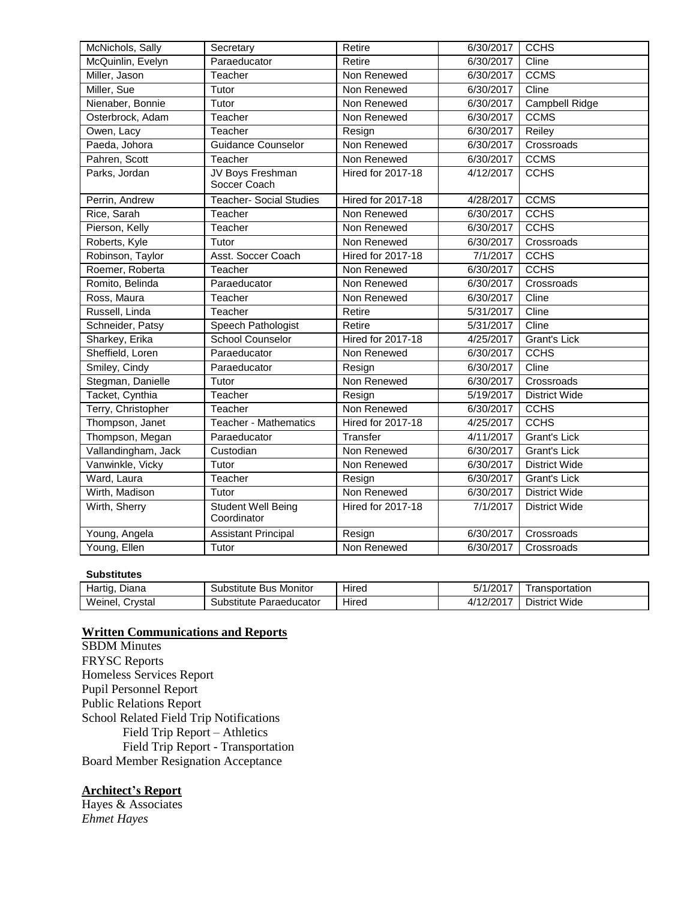| McNichols, Sally    | Secretary                                | Retire                   | 6/30/2017              | <b>CCHS</b>          |
|---------------------|------------------------------------------|--------------------------|------------------------|----------------------|
| McQuinlin, Evelyn   | Paraeducator                             | Retire                   | 6/30/2017              | Cline                |
| Miller, Jason       | Teacher                                  | Non Renewed              | 6/30/2017              | <b>CCMS</b>          |
| Miller, Sue         | Non Renewed<br>Tutor                     |                          | 6/30/2017              | Cline                |
| Nienaber, Bonnie    | Tutor                                    | Non Renewed              | 6/30/2017              | Campbell Ridge       |
| Osterbrock, Adam    | Teacher                                  | Non Renewed              | 6/30/2017              | <b>CCMS</b>          |
| Owen, Lacy          | Teacher                                  | Resign                   | 6/30/2017              | Reiley               |
| Paeda, Johora       | <b>Guidance Counselor</b>                | Non Renewed              | 6/30/2017              | Crossroads           |
| Pahren, Scott       | Teacher                                  | Non Renewed              | 6/30/2017              | <b>CCMS</b>          |
| Parks, Jordan       | JV Boys Freshman<br>Soccer Coach         | <b>Hired for 2017-18</b> | 4/12/2017              | <b>CCHS</b>          |
| Perrin, Andrew      | <b>Teacher- Social Studies</b>           | <b>Hired for 2017-18</b> | 4/28/2017              | <b>CCMS</b>          |
| Rice, Sarah         | Teacher                                  | Non Renewed              | 6/30/2017              | <b>CCHS</b>          |
| Pierson, Kelly      | Teacher                                  | Non Renewed              | 6/30/2017              | <b>CCHS</b>          |
| Roberts, Kyle       | Tutor                                    | Non Renewed              | 6/30/2017              | Crossroads           |
| Robinson, Taylor    | Asst. Soccer Coach                       | <b>Hired for 2017-18</b> | 7/1/2017               | <b>CCHS</b>          |
| Roemer, Roberta     | Teacher                                  | Non Renewed              | 6/30/2017              | <b>CCHS</b>          |
| Romito, Belinda     | Paraeducator                             | Non Renewed              | 6/30/2017              | Crossroads           |
| Ross, Maura         | Teacher                                  | Non Renewed              | 6/30/2017              | Cline                |
| Russell, Linda      | Teacher                                  | Retire                   | 5/31/2017              | Cline                |
| Schneider, Patsy    | Speech Pathologist                       | Retire                   | 5/31/2017              | Cline                |
| Sharkey, Erika      | <b>School Counselor</b>                  | <b>Hired for 2017-18</b> | 4/25/2017              | <b>Grant's Lick</b>  |
| Sheffield, Loren    | Paraeducator                             | Non Renewed              | 6/30/2017              | <b>CCHS</b>          |
| Smiley, Cindy       | Paraeducator                             | Resign                   | 6/30/2017              | Cline                |
| Stegman, Danielle   | Tutor                                    | Non Renewed              | 6/30/2017              | Crossroads           |
| Tacket, Cynthia     | Teacher                                  | Resign                   | 5/19/2017              | <b>District Wide</b> |
| Terry, Christopher  | Teacher                                  | Non Renewed              | 6/30/2017              | <b>CCHS</b>          |
| Thompson, Janet     | <b>Teacher - Mathematics</b>             | <b>Hired for 2017-18</b> | 4/25/2017              | <b>CCHS</b>          |
| Thompson, Megan     | Paraeducator                             | Transfer                 | $\frac{1}{4}$ /11/2017 | <b>Grant's Lick</b>  |
| Vallandingham, Jack | Custodian                                | Non Renewed              | 6/30/2017              | Grant's Lick         |
| Vanwinkle, Vicky    | Tutor                                    | Non Renewed              | 6/30/2017              | <b>District Wide</b> |
| Ward, Laura         | Teacher                                  | Resign                   | 6/30/2017              | Grant's Lick         |
| Wirth, Madison      | Tutor                                    | Non Renewed              | 6/30/2017              | District Wide        |
| Wirth, Sherry       | <b>Student Well Being</b><br>Coordinator | <b>Hired for 2017-18</b> | 7/1/2017               | <b>District Wide</b> |
| Young, Angela       | <b>Assistant Principal</b>               | Resign                   | 6/30/2017              | Crossroads           |
| Young, Ellen        | Tutor                                    | Non Renewed              | 6/30/2017              | Crossroads           |

### **Substitutes**

| -<br>Hartio.<br>Diana | <b>Bus Monitor</b><br>Substitute | $\cdots$<br>Hired | 5/1/2017  | ransportation |
|-----------------------|----------------------------------|-------------------|-----------|---------------|
| Weinel,<br>Crystal    | Paraeducator<br>Substitute       | .<br>Hired        | 4/12/2017 | District Wide |

### **Written Communications and Reports**

SBDM Minutes FRYSC Reports Homeless Services Report Pupil Personnel Report Public Relations Report School Related Field Trip Notifications Field Trip Report – Athletics Field Trip Report - Transportation Board Member Resignation Acceptance

## **Architect's Report**

Hayes & Associates *Ehmet Hayes*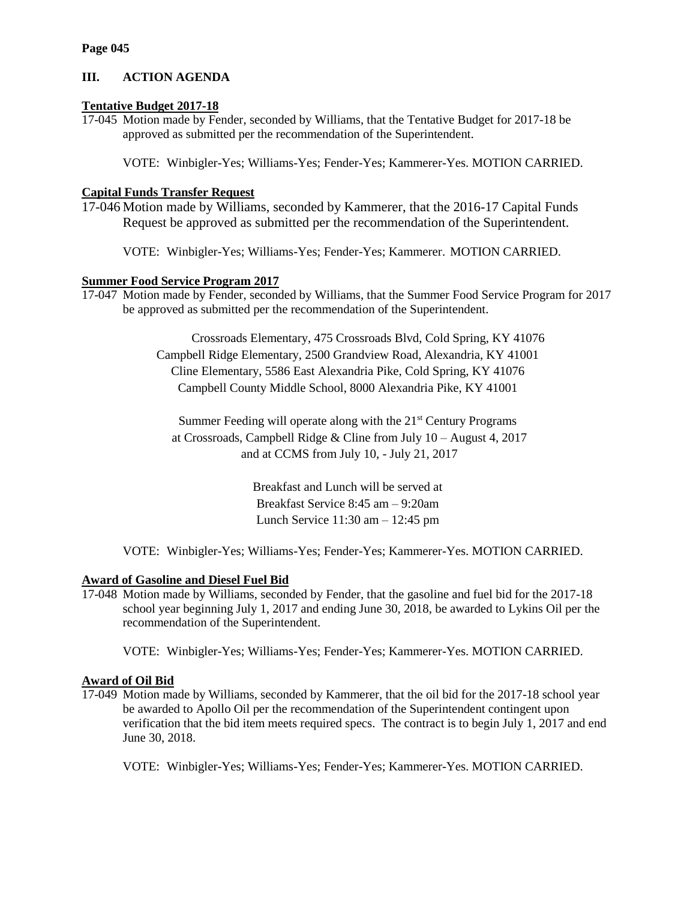# **III. ACTION AGENDA**

# **Tentative Budget 2017-18**

17-045 Motion made by Fender, seconded by Williams, that the Tentative Budget for 2017-18 be approved as submitted per the recommendation of the Superintendent.

VOTE: Winbigler-Yes; Williams-Yes; Fender-Yes; Kammerer-Yes. MOTION CARRIED.

# **Capital Funds Transfer Request**

17-046 Motion made by Williams, seconded by Kammerer, that the 2016-17 Capital Funds Request be approved as submitted per the recommendation of the Superintendent.

VOTE: Winbigler-Yes; Williams-Yes; Fender-Yes; Kammerer. MOTION CARRIED.

# **Summer Food Service Program 2017**

17-047 Motion made by Fender, seconded by Williams, that the Summer Food Service Program for 2017 be approved as submitted per the recommendation of the Superintendent.

> Crossroads Elementary, 475 Crossroads Blvd, Cold Spring, KY 41076 Campbell Ridge Elementary, 2500 Grandview Road, Alexandria, KY 41001 Cline Elementary, 5586 East Alexandria Pike, Cold Spring, KY 41076 Campbell County Middle School, 8000 Alexandria Pike, KY 41001

Summer Feeding will operate along with the 21<sup>st</sup> Century Programs at Crossroads, Campbell Ridge & Cline from July 10 – August 4, 2017 and at CCMS from July 10, - July 21, 2017

> Breakfast and Lunch will be served at Breakfast Service 8:45 am – 9:20am Lunch Service 11:30 am – 12:45 pm

VOTE: Winbigler-Yes; Williams-Yes; Fender-Yes; Kammerer-Yes. MOTION CARRIED.

# **Award of Gasoline and Diesel Fuel Bid**

17-048 Motion made by Williams, seconded by Fender, that the gasoline and fuel bid for the 2017-18 school year beginning July 1, 2017 and ending June 30, 2018, be awarded to Lykins Oil per the recommendation of the Superintendent.

VOTE: Winbigler-Yes; Williams-Yes; Fender-Yes; Kammerer-Yes. MOTION CARRIED.

# **Award of Oil Bid**

17-049 Motion made by Williams, seconded by Kammerer, that the oil bid for the 2017-18 school year be awarded to Apollo Oil per the recommendation of the Superintendent contingent upon verification that the bid item meets required specs. The contract is to begin July 1, 2017 and end June 30, 2018.

VOTE: Winbigler-Yes; Williams-Yes; Fender-Yes; Kammerer-Yes. MOTION CARRIED.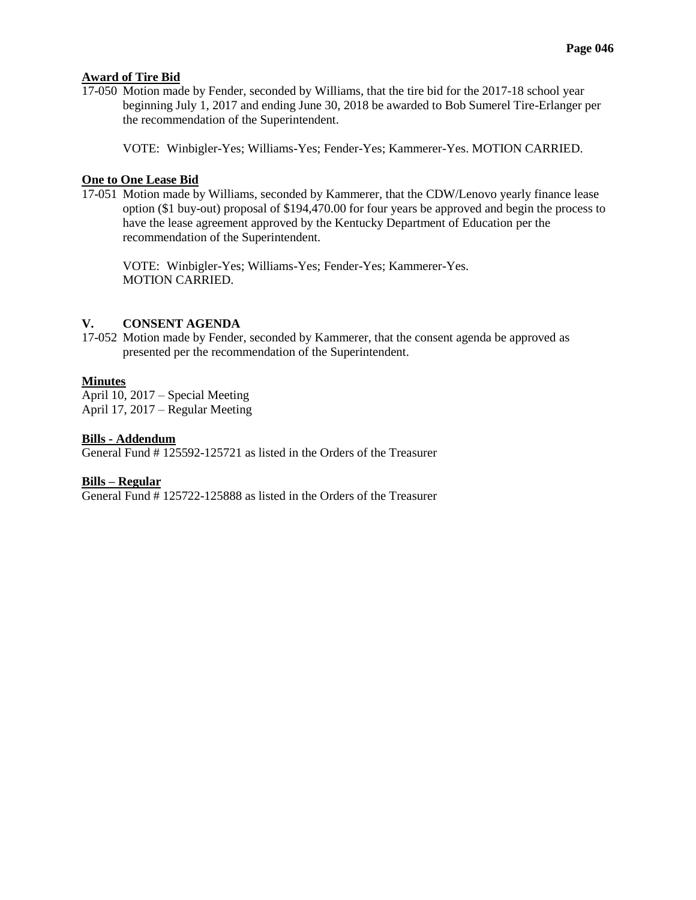## **Award of Tire Bid**

17-050 Motion made by Fender, seconded by Williams, that the tire bid for the 2017-18 school year beginning July 1, 2017 and ending June 30, 2018 be awarded to Bob Sumerel Tire-Erlanger per the recommendation of the Superintendent.

VOTE: Winbigler-Yes; Williams-Yes; Fender-Yes; Kammerer-Yes. MOTION CARRIED.

## **One to One Lease Bid**

17-051 Motion made by Williams, seconded by Kammerer, that the CDW/Lenovo yearly finance lease option (\$1 buy-out) proposal of \$194,470.00 for four years be approved and begin the process to have the lease agreement approved by the Kentucky Department of Education per the recommendation of the Superintendent.

VOTE: Winbigler-Yes; Williams-Yes; Fender-Yes; Kammerer-Yes. MOTION CARRIED.

## **V. CONSENT AGENDA**

17-052 Motion made by Fender, seconded by Kammerer, that the consent agenda be approved as presented per the recommendation of the Superintendent.

# **Minutes**

April 10, 2017 – Special Meeting April 17, 2017 – Regular Meeting

## **Bills - Addendum**

General Fund # 125592-125721 as listed in the Orders of the Treasurer

# **Bills – Regular**

General Fund # 125722-125888 as listed in the Orders of the Treasurer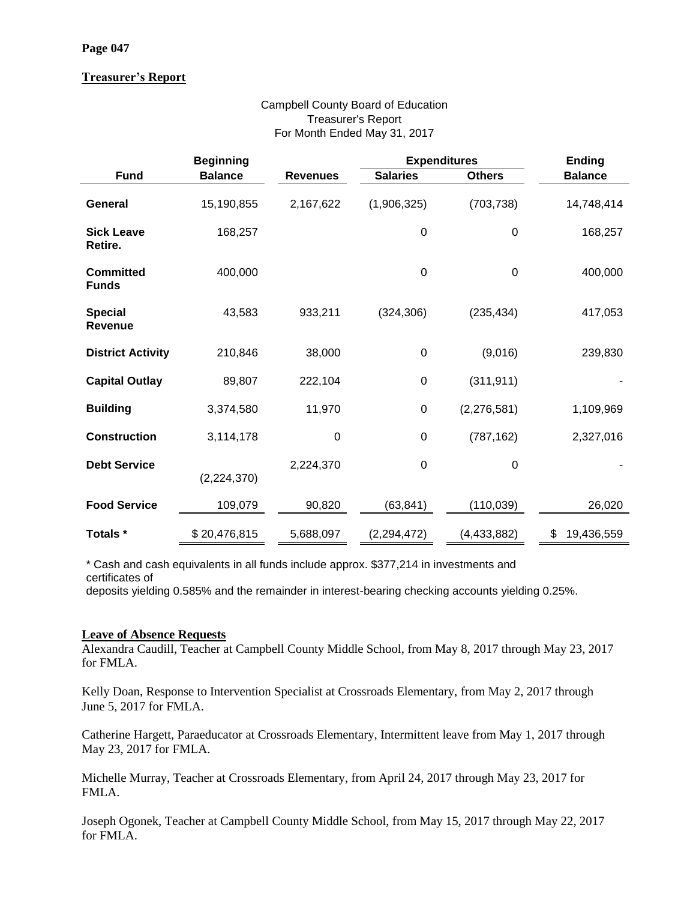# **Treasurer's Report**

# Campbell County Board of Education Treasurer's Report For Month Ended May 31, 2017

|                                  | <b>Beginning</b> |                 | <b>Expenditures</b> |               | <b>Ending</b>    |
|----------------------------------|------------------|-----------------|---------------------|---------------|------------------|
| <b>Fund</b>                      | <b>Balance</b>   | <b>Revenues</b> | <b>Salaries</b>     | <b>Others</b> | <b>Balance</b>   |
| General                          | 15,190,855       | 2,167,622       | (1,906,325)         | (703, 738)    | 14,748,414       |
| <b>Sick Leave</b><br>Retire.     | 168,257          |                 | $\pmb{0}$           | $\pmb{0}$     | 168,257          |
| <b>Committed</b><br><b>Funds</b> | 400,000          |                 | $\mathbf 0$         | $\mathbf 0$   | 400,000          |
| <b>Special</b><br><b>Revenue</b> | 43,583           | 933,211         | (324, 306)          | (235, 434)    | 417,053          |
| <b>District Activity</b>         | 210,846          | 38,000          | $\mathbf 0$         | (9,016)       | 239,830          |
| <b>Capital Outlay</b>            | 89,807           | 222,104         | $\mathbf 0$         | (311, 911)    |                  |
| <b>Building</b>                  | 3,374,580        | 11,970          | $\pmb{0}$           | (2, 276, 581) | 1,109,969        |
| <b>Construction</b>              | 3,114,178        | 0               | $\mathbf 0$         | (787, 162)    | 2,327,016        |
| <b>Debt Service</b>              | (2,224,370)      | 2,224,370       | $\mathbf 0$         | $\mathbf 0$   |                  |
| <b>Food Service</b>              | 109,079          | 90,820          | (63, 841)           | (110, 039)    | 26,020           |
| Totals *                         | \$20,476,815     | 5,688,097       | (2, 294, 472)       | (4, 433, 882) | \$<br>19,436,559 |

\* Cash and cash equivalents in all funds include approx. \$377,214 in investments and

certificates of

deposits yielding 0.585% and the remainder in interest-bearing checking accounts yielding 0.25%.

# **Leave of Absence Requests**

Alexandra Caudill, Teacher at Campbell County Middle School, from May 8, 2017 through May 23, 2017 for FMLA.

Kelly Doan, Response to Intervention Specialist at Crossroads Elementary, from May 2, 2017 through June 5, 2017 for FMLA.

Catherine Hargett, Paraeducator at Crossroads Elementary, Intermittent leave from May 1, 2017 through May 23, 2017 for FMLA.

Michelle Murray, Teacher at Crossroads Elementary, from April 24, 2017 through May 23, 2017 for FMLA.

Joseph Ogonek, Teacher at Campbell County Middle School, from May 15, 2017 through May 22, 2017 for FMLA.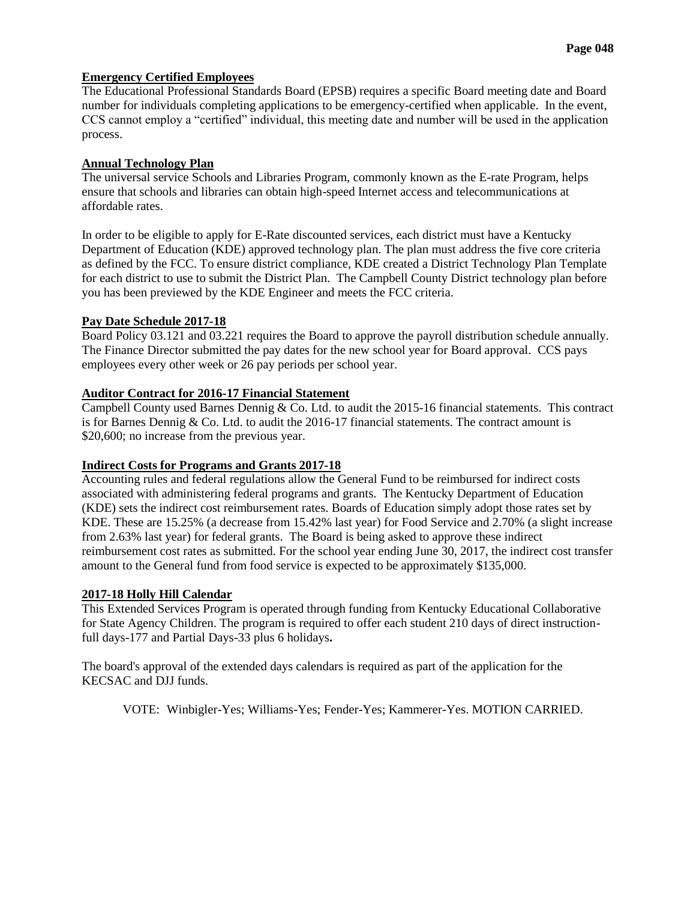# **Emergency Certified Employees**

The Educational Professional Standards Board (EPSB) requires a specific Board meeting date and Board number for individuals completing applications to be emergency-certified when applicable. In the event, CCS cannot employ a "certified" individual, this meeting date and number will be used in the application process.

## **Annual Technology Plan**

The universal service Schools and Libraries Program, commonly known as the E-rate Program, helps ensure that schools and libraries can obtain high-speed Internet access and telecommunications at affordable rates.

In order to be eligible to apply for E-Rate discounted services, each district must have a Kentucky Department of Education (KDE) approved technology plan. The plan must address the five core criteria as defined by the FCC. To ensure district compliance, KDE created a District Technology Plan Template for each district to use to submit the District Plan. The Campbell County District technology plan before you has been previewed by the KDE Engineer and meets the FCC criteria.

## **Pay Date Schedule 2017-18**

Board Policy 03.121 and 03.221 requires the Board to approve the payroll distribution schedule annually. The Finance Director submitted the pay dates for the new school year for Board approval. CCS pays employees every other week or 26 pay periods per school year.

## **Auditor Contract for 2016-17 Financial Statement**

Campbell County used Barnes Dennig & Co. Ltd. to audit the 2015-16 financial statements. This contract is for Barnes Dennig & Co. Ltd. to audit the 2016-17 financial statements. The contract amount is \$20,600; no increase from the previous year.

# **Indirect Costs for Programs and Grants 2017-18**

Accounting rules and federal regulations allow the General Fund to be reimbursed for indirect costs associated with administering federal programs and grants. The Kentucky Department of Education (KDE) sets the indirect cost reimbursement rates. Boards of Education simply adopt those rates set by KDE. These are 15.25% (a decrease from 15.42% last year) for Food Service and 2.70% (a slight increase from 2.63% last year) for federal grants. The Board is being asked to approve these indirect reimbursement cost rates as submitted. For the school year ending June 30, 2017, the indirect cost transfer amount to the General fund from food service is expected to be approximately \$135,000.

## **2017-18 Holly Hill Calendar**

This Extended Services Program is operated through funding from Kentucky Educational Collaborative for State Agency Children. The program is required to offer each student 210 days of direct instructionfull days-177 and Partial Days-33 plus 6 holidays**.**

The board's approval of the extended days calendars is required as part of the application for the KECSAC and DJJ funds.

VOTE: Winbigler-Yes; Williams-Yes; Fender-Yes; Kammerer-Yes. MOTION CARRIED.